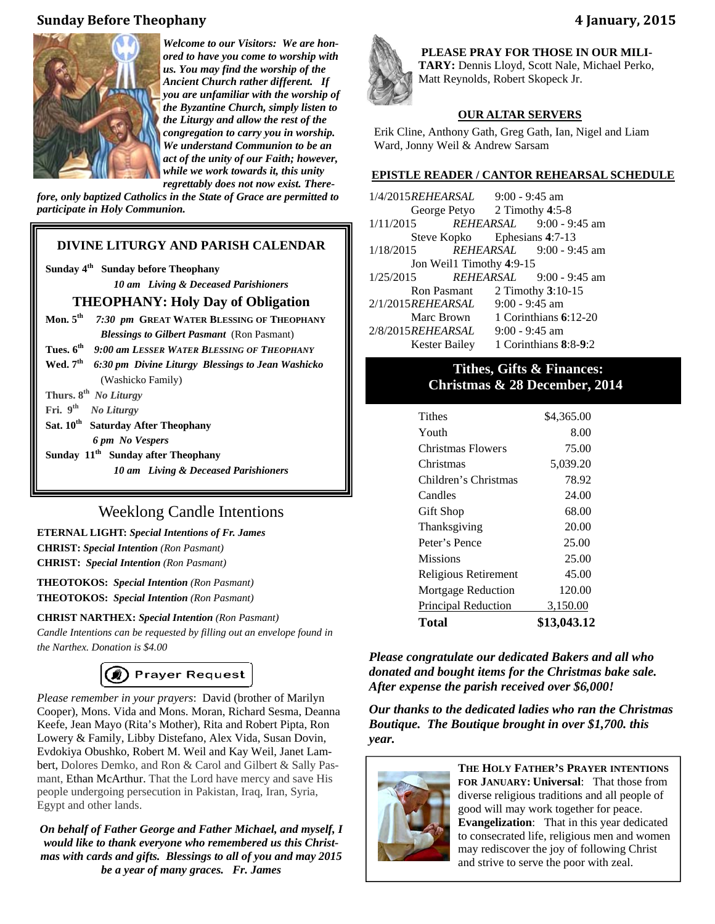## **Sunday Before Theophany 4 January, 2015**



*Welcome to our Visitors: We are honored to have you come to worship with us. You may find the worship of the Ancient Church rather different. If you are unfamiliar with the worship of the Byzantine Church, simply listen to the Liturgy and allow the rest of the congregation to carry you in worship. We understand Communion to be an act of the unity of our Faith; however, while we work towards it, this unity regrettably does not now exist. There-*

*fore, only baptized Catholics in the State of Grace are permitted to participate in Holy Communion.* 

## **DIVINE LITURGY AND PARISH CALENDAR**

**Sunday 4th****Sunday before Theophany**   *10 am Living & Deceased Parishioners* 

#### **THEOPHANY: Holy Day of Obligation**

- **Mon. 5th** *7:30 pm* **GREAT WATER BLESSING OF THEOPHANY** *Blessings to Gilbert Pasmant* (Ron Pasmant)
- **Tues. 6th** *9:00 am LESSER WATER BLESSING OF THEOPHANY*
- Wed. 7<sup>th</sup> *6:30 pm Divine Liturgy Blessings to Jean Washicko* (Washicko Family)
- **Thurs. 8th** *No Liturgy*
- **Fri. 9th** *No Liturgy*
- Sat. 10<sup>th</sup> Saturday After Theophany *6 pm No Vespers*
- **Sunday 11th****Sunday after Theophany**

 *10 am Living & Deceased Parishioners* 

## Weeklong Candle Intentions

**ETERNAL LIGHT:** *Special Intentions of Fr. James*  **CHRIST:** *Special Intention (Ron Pasmant)* **CHRIST:** *Special Intention (Ron Pasmant)*

**THEOTOKOS:** *Special Intention (Ron Pasmant)* **THEOTOKOS:** *Special Intention (Ron Pasmant)*

#### **CHRIST NARTHEX:** *Special Intention (Ron Pasmant)*

*Candle Intentions can be requested by filling out an envelope found in the Narthex. Donation is \$4.00* 

# (@) Prayer Request

*Please remember in your prayers*: David (brother of Marilyn Cooper), Mons. Vida and Mons. Moran, Richard Sesma, Deanna Keefe, Jean Mayo (Rita's Mother), Rita and Robert Pipta, Ron Lowery & Family, Libby Distefano, Alex Vida, Susan Dovin, Evdokiya Obushko, Robert M. Weil and Kay Weil, Janet Lambert, Dolores Demko, and Ron & Carol and Gilbert & Sally Pasmant, Ethan McArthur. That the Lord have mercy and save His people undergoing persecution in Pakistan, Iraq, Iran, Syria, Egypt and other lands.

*On behalf of Father George and Father Michael, and myself, I would like to thank everyone who remembered us this Christmas with cards and gifts. Blessings to all of you and may 2015 be a year of many graces. Fr. James* 



**PLEASE PRAY FOR THOSE IN OUR MILI-TARY:** Dennis Lloyd, Scott Nale, Michael Perko, Matt Reynolds, Robert Skopeck Jr.

#### **OUR ALTAR SERVERS**

Erik Cline, Anthony Gath, Greg Gath, Ian, Nigel and Liam Ward, Jonny Weil & Andrew Sarsam

#### **EPISTLE READER / CANTOR REHEARSAL SCHEDULE**

1/4/2015 *REHEARSAL* 9:00 - 9:45 am George Petyo 2 Timothy **4**:5-8 1/11/2015 *REHEARSAL* 9:00 - 9:45 am Steve Kopko Ephesians **4**:7-13 1/18/2015 *REHEARSAL* 9:00 - 9:45 am Jon Weil1 Timothy 4:9-15 1/25/2015 *REHEARSAL* 9:00 - 9:45 am Ron Pasmant 2 Timothy **3**:10-15 2/1/2015 *REHEARSAL* 9:00 - 9:45 am Marc Brown 1 Corinthians **6**:12-20 2/8/2015 *REHEARSAL* 9:00 - 9:45 am Kester Bailey 1 Corinthians **8**:8-**9**:2

## **Tithes, Gifts & Finances: Christmas & 28 December, 2014**

| Total                      | \$13,043.12 |
|----------------------------|-------------|
| <b>Principal Reduction</b> | 3,150.00    |
| <b>Mortgage Reduction</b>  | 120.00      |
| Religious Retirement       | 45.00       |
| <b>Missions</b>            | 25.00       |
| Peter's Pence              | 25.00       |
| Thanksgiving               | 20.00       |
| Gift Shop                  | 68.00       |
| Candles                    | 24.00       |
| Children's Christmas       | 78.92       |
| Christmas                  | 5,039.20    |
| Christmas Flowers          | 75.00       |
| Youth                      | 8.00        |
| Tithes                     | \$4,365.00  |

*Please congratulate our dedicated Bakers and all who donated and bought items for the Christmas bake sale. After expense the parish received over \$6,000!* 

*Our thanks to the dedicated ladies who ran the Christmas Boutique. The Boutique brought in over \$1,700. this year.* 



**THE HOLY FATHER'S PRAYER INTENTIONS FOR JANUARY: Universal**: That those from diverse religious traditions and all people of good will may work together for peace. **Evangelization**: That in this year dedicated to consecrated life, religious men and women may rediscover the joy of following Christ and strive to serve the poor with zeal.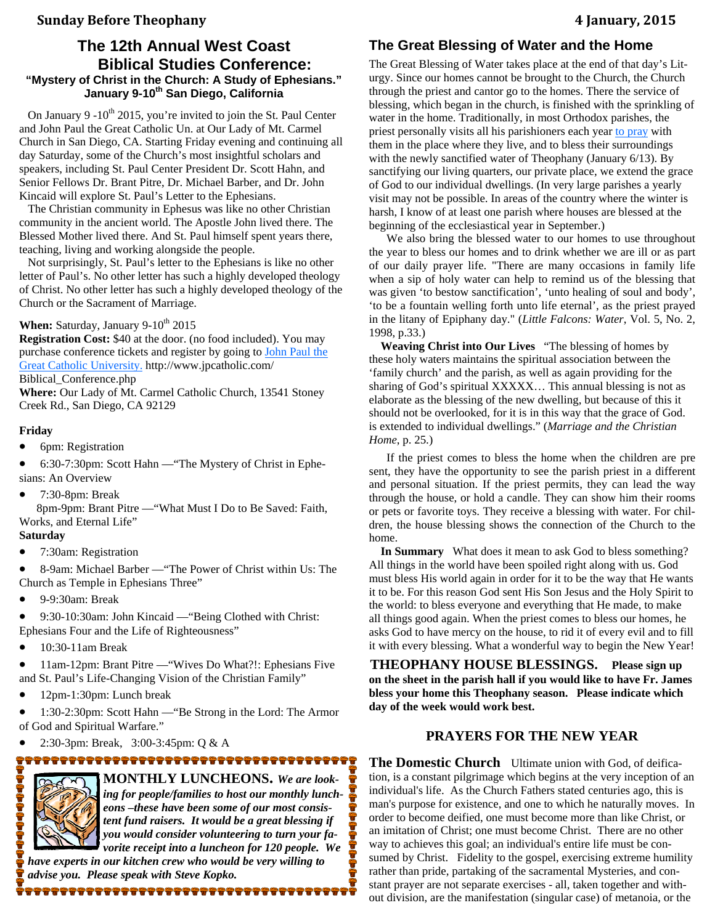## **Sunday Before Theophany 4 January, 2015**

## **The 12th Annual West Coast Biblical Studies Conference: "Mystery of Christ in the Church: A Study of Ephesians."**  January 9-10<sup>th</sup> San Diego, California

On January 9 -10<sup>th</sup> 2015, you're invited to join the St. Paul Center and John Paul the Great Catholic Un. at Our Lady of Mt. Carmel Church in San Diego, CA. Starting Friday evening and continuing all day Saturday, some of the Church's most insightful scholars and speakers, including St. Paul Center President Dr. Scott Hahn, and Senior Fellows Dr. Brant Pitre, Dr. Michael Barber, and Dr. John Kincaid will explore St. Paul's Letter to the Ephesians.

 The Christian community in Ephesus was like no other Christian community in the ancient world. The Apostle John lived there. The Blessed Mother lived there. And St. Paul himself spent years there, teaching, living and working alongside the people.

 Not surprisingly, St. Paul's letter to the Ephesians is like no other letter of Paul's. No other letter has such a highly developed theology of Christ. No other letter has such a highly developed theology of the Church or the Sacrament of Marriage.

## When: Saturday, January 9-10<sup>th</sup> 2015

**Registration Cost:** \$40 at the door. (no food included). You may purchase conference tickets and register by going to John Paul the Great Catholic University. http://www.jpcatholic.com/ Biblical\_Conference.php

**Where:** Our Lady of Mt. Carmel Catholic Church, 13541 Stoney Creek Rd., San Diego, CA 92129

#### **Friday**

- 6pm: Registration
- 6:30-7:30pm: Scott Hahn —"The Mystery of Christ in Ephesians: An Overview
- 7:30-8pm: Break

 8pm-9pm: Brant Pitre —"What Must I Do to Be Saved: Faith, Works, and Eternal Life"

#### **Saturday**

• 7:30am: Registration

 8-9am: Michael Barber —"The Power of Christ within Us: The Church as Temple in Ephesians Three"

9-9:30am: Break

 9:30-10:30am: John Kincaid —"Being Clothed with Christ: Ephesians Four and the Life of Righteousness"

10:30-11am Break

• 11am-12pm: Brant Pitre — "Wives Do What?!: Ephesians Five and St. Paul's Life-Changing Vision of the Christian Family"

12pm-1:30pm: Lunch break

 1:30-2:30pm: Scott Hahn —"Be Strong in the Lord: The Armor of God and Spiritual Warfare."

2:30-3pm: Break, 3:00-3:45pm: Q & A

**ICONDER** 

**MONTHLY LUNCHEONS.** *We are looking for people/families to host our monthly luncheons –these have been some of our most consistent fund raisers. It would be a great blessing if you would consider volunteering to turn your favorite receipt into a luncheon for 120 people. We* 

*have experts in our kitchen crew who would be very willing to advise you. Please speak with Steve Kopko.*  

## **The Great Blessing of Water and the Home**

The Great Blessing of Water takes place at the end of that day's Liturgy. Since our homes cannot be brought to the Church, the Church through the priest and cantor go to the homes. There the service of blessing, which began in the church, is finished with the sprinkling of water in the home. Traditionally, in most Orthodox parishes, the priest personally visits all his parishioners each year to pray with them in the place where they live, and to bless their surroundings with the newly sanctified water of Theophany (January 6/13). By sanctifying our living quarters, our private place, we extend the grace of God to our individual dwellings. (In very large parishes a yearly visit may not be possible. In areas of the country where the winter is harsh, I know of at least one parish where houses are blessed at the beginning of the ecclesiastical year in September.)

We also bring the blessed water to our homes to use throughout the year to bless our homes and to drink whether we are ill or as part of our daily prayer life. "There are many occasions in family life when a sip of holy water can help to remind us of the blessing that was given 'to bestow sanctification', 'unto healing of soul and body', 'to be a fountain welling forth unto life eternal', as the priest prayed in the litany of Epiphany day." (*Little Falcons: Water*, Vol. 5, No. 2, 1998, p.33.)

 **Weaving Christ into Our Lives** "The blessing of homes by these holy waters maintains the spiritual association between the 'family church' and the parish, as well as again providing for the sharing of God's spiritual XXXXX… This annual blessing is not as elaborate as the blessing of the new dwelling, but because of this it should not be overlooked, for it is in this way that the grace of God. is extended to individual dwellings." (*Marriage and the Christian Home*, p. 25.)

If the priest comes to bless the home when the children are pre sent, they have the opportunity to see the parish priest in a different and personal situation. If the priest permits, they can lead the way through the house, or hold a candle. They can show him their rooms or pets or favorite toys. They receive a blessing with water. For children, the house blessing shows the connection of the Church to the home.

 **In Summary** What does it mean to ask God to bless something? All things in the world have been spoiled right along with us. God must bless His world again in order for it to be the way that He wants it to be. For this reason God sent His Son Jesus and the Holy Spirit to the world: to bless everyone and everything that He made, to make all things good again. When the priest comes to bless our homes, he asks God to have mercy on the house, to rid it of every evil and to fill it with every blessing. What a wonderful way to begin the New Year!

**THEOPHANY HOUSE BLESSINGS. Please sign up on the sheet in the parish hall if you would like to have Fr. James bless your home this Theophany season. Please indicate which day of the week would work best.** 

#### **PRAYERS FOR THE NEW YEAR**

**The Domestic Church** Ultimate union with God, of deification, is a constant pilgrimage which begins at the very inception of an individual's life. As the Church Fathers stated centuries ago, this is man's purpose for existence, and one to which he naturally moves. In order to become deified, one must become more than like Christ, or an imitation of Christ; one must become Christ. There are no other way to achieves this goal; an individual's entire life must be consumed by Christ. Fidelity to the gospel, exercising extreme humility rather than pride, partaking of the sacramental Mysteries, and constant prayer are not separate exercises - all, taken together and without division, are the manifestation (singular case) of metanoia, or the